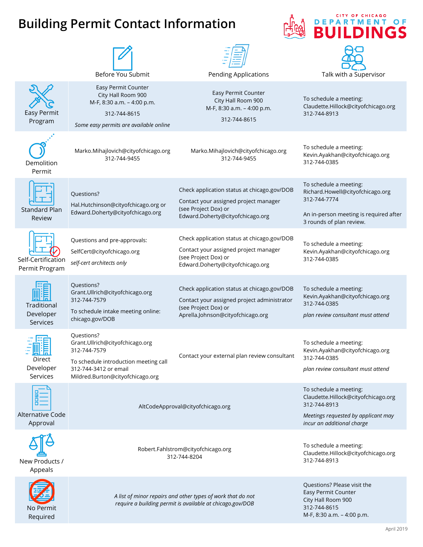## **Building Permit Contact Information**



CITY OF CHICAGO **DEPARTMENT** 

O F